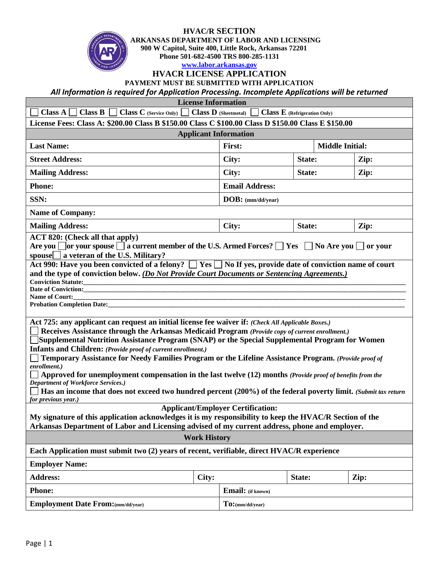## **HVAC/R SECTION**



 **ARKANSAS DEPARTMENT OF LABOR AND LICENSING 900 W Capitol, Suite 400, Little Rock, Arkansas 72201 Phone 501-682-4500 TRS 800-285-1131**

**[www.labor.arkansas.gov](http://www.labor.arkansas.gov/)**

## **HVACR LICENSE APPLICATION**

**PAYMENT MUST BE SUBMITTED WITH APPLICATION**

*All Information is required for Application Processing. Incomplete Applications will be returned*

 **License Information**

| <b>Class A</b> $\Box$ <b>Class B</b> $\Box$ <b>Class C</b> (Service Only) $\Box$ <b>Class D</b> (Sheetmetal)<br><b>Class E</b> (Refrigeration Only)                                                                                                                                                                                                                                                                                                                                                                                                                                                                                                                                                                                                                                                                                                                                                                                                                                                                                           |       |                       |        |                        |      |  |  |  |
|-----------------------------------------------------------------------------------------------------------------------------------------------------------------------------------------------------------------------------------------------------------------------------------------------------------------------------------------------------------------------------------------------------------------------------------------------------------------------------------------------------------------------------------------------------------------------------------------------------------------------------------------------------------------------------------------------------------------------------------------------------------------------------------------------------------------------------------------------------------------------------------------------------------------------------------------------------------------------------------------------------------------------------------------------|-------|-----------------------|--------|------------------------|------|--|--|--|
| License Fees: Class A: \$200.00 Class B \$150.00 Class C \$100.00 Class D \$150.00 Class E \$150.00                                                                                                                                                                                                                                                                                                                                                                                                                                                                                                                                                                                                                                                                                                                                                                                                                                                                                                                                           |       |                       |        |                        |      |  |  |  |
| <b>Applicant Information</b>                                                                                                                                                                                                                                                                                                                                                                                                                                                                                                                                                                                                                                                                                                                                                                                                                                                                                                                                                                                                                  |       |                       |        |                        |      |  |  |  |
| <b>Last Name:</b>                                                                                                                                                                                                                                                                                                                                                                                                                                                                                                                                                                                                                                                                                                                                                                                                                                                                                                                                                                                                                             |       | First:                |        | <b>Middle Initial:</b> |      |  |  |  |
| <b>Street Address:</b>                                                                                                                                                                                                                                                                                                                                                                                                                                                                                                                                                                                                                                                                                                                                                                                                                                                                                                                                                                                                                        |       | City:                 | State: |                        | Zip: |  |  |  |
| <b>Mailing Address:</b>                                                                                                                                                                                                                                                                                                                                                                                                                                                                                                                                                                                                                                                                                                                                                                                                                                                                                                                                                                                                                       |       | City:                 | State: |                        | Zip: |  |  |  |
| <b>Phone:</b>                                                                                                                                                                                                                                                                                                                                                                                                                                                                                                                                                                                                                                                                                                                                                                                                                                                                                                                                                                                                                                 |       | <b>Email Address:</b> |        |                        |      |  |  |  |
| SSN:                                                                                                                                                                                                                                                                                                                                                                                                                                                                                                                                                                                                                                                                                                                                                                                                                                                                                                                                                                                                                                          |       | $DOB:$ (mm/dd/year)   |        |                        |      |  |  |  |
| <b>Name of Company:</b>                                                                                                                                                                                                                                                                                                                                                                                                                                                                                                                                                                                                                                                                                                                                                                                                                                                                                                                                                                                                                       |       |                       |        |                        |      |  |  |  |
| <b>Mailing Address:</b>                                                                                                                                                                                                                                                                                                                                                                                                                                                                                                                                                                                                                                                                                                                                                                                                                                                                                                                                                                                                                       |       | City:                 | State: |                        | Zip: |  |  |  |
| <b>ACT 820: (Check all that apply)</b><br>Are you $\Box$ or your spouse $\Box$ a current member of the U.S. Armed Forces? $\Box$ Yes $\Box$ No Are you $\Box$ or your<br>spouse $\Box$ a veteran of the U.S. Military?<br>Act 990: Have you been convicted of a felony? $\Box$ Yes $\Box$ No If yes, provide date of conviction name of court<br>and the type of conviction below. (Do Not Provide Court Documents or Sentencing Agreements.)<br><b>Conviction Statute:</b><br>Date of Conviction:<br>Name of Court:<br><b>Probation Completion Date:</b><br>Act 725: any applicant can request an initial license fee waiver if: (Check All Applicable Boxes.)<br>Receives Assistance through the Arkansas Medicaid Program (Provide copy of current enrollment.)<br>Supplemental Nutrition Assistance Program (SNAP) or the Special Supplemental Program for Women<br>Infants and Children: (Provide proof of current enrollment.)<br>Temporary Assistance for Needy Families Program or the Lifeline Assistance Program. (Provide proof of |       |                       |        |                        |      |  |  |  |
| enrollment.)<br>Approved for unemployment compensation in the last twelve (12) months (Provide proof of benefits from the<br><b>Department of Workforce Services.)</b><br>Has an income that does not exceed two hundred percent (200%) of the federal poverty limit. (Submit tax return<br>for previous year.)                                                                                                                                                                                                                                                                                                                                                                                                                                                                                                                                                                                                                                                                                                                               |       |                       |        |                        |      |  |  |  |
| <b>Applicant/Employer Certification:</b>                                                                                                                                                                                                                                                                                                                                                                                                                                                                                                                                                                                                                                                                                                                                                                                                                                                                                                                                                                                                      |       |                       |        |                        |      |  |  |  |
| My signature of this application acknowledges it is my responsibility to keep the HVAC/R Section of the<br>Arkansas Department of Labor and Licensing advised of my current address, phone and employer.                                                                                                                                                                                                                                                                                                                                                                                                                                                                                                                                                                                                                                                                                                                                                                                                                                      |       |                       |        |                        |      |  |  |  |
| <b>Work History</b>                                                                                                                                                                                                                                                                                                                                                                                                                                                                                                                                                                                                                                                                                                                                                                                                                                                                                                                                                                                                                           |       |                       |        |                        |      |  |  |  |
| Each Application must submit two (2) years of recent, verifiable, direct HVAC/R experience                                                                                                                                                                                                                                                                                                                                                                                                                                                                                                                                                                                                                                                                                                                                                                                                                                                                                                                                                    |       |                       |        |                        |      |  |  |  |
| <b>Employer Name:</b>                                                                                                                                                                                                                                                                                                                                                                                                                                                                                                                                                                                                                                                                                                                                                                                                                                                                                                                                                                                                                         |       |                       |        |                        |      |  |  |  |
| <b>Address:</b>                                                                                                                                                                                                                                                                                                                                                                                                                                                                                                                                                                                                                                                                                                                                                                                                                                                                                                                                                                                                                               | City: |                       | State: |                        | Zip: |  |  |  |
| <b>Phone:</b>                                                                                                                                                                                                                                                                                                                                                                                                                                                                                                                                                                                                                                                                                                                                                                                                                                                                                                                                                                                                                                 |       | Email: (if known)     |        |                        |      |  |  |  |
| <b>Employment Date From:</b> (mm/dd/year)                                                                                                                                                                                                                                                                                                                                                                                                                                                                                                                                                                                                                                                                                                                                                                                                                                                                                                                                                                                                     |       | $To:$ (mm/dd/year)    |        |                        |      |  |  |  |
|                                                                                                                                                                                                                                                                                                                                                                                                                                                                                                                                                                                                                                                                                                                                                                                                                                                                                                                                                                                                                                               |       |                       |        |                        |      |  |  |  |